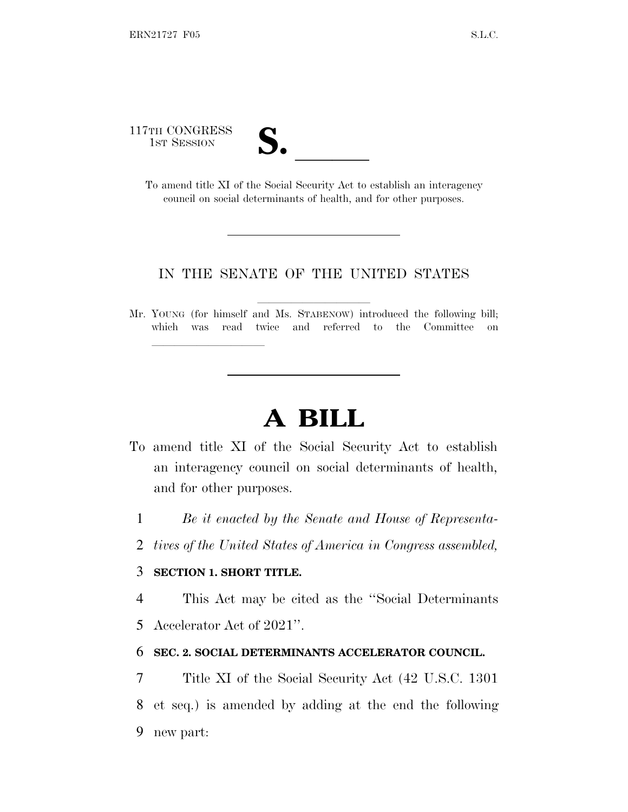117TH CONGRESS

| $\boldsymbol{\cup}$ o |  |
|-----------------------|--|
|                       |  |

TH CONGRESS<br>
1ST SESSION<br>
To amend title XI of the Social Security Act to establish an interagency council on social determinants of health, and for other purposes.

### IN THE SENATE OF THE UNITED STATES

Mr. YOUNG (for himself and Ms. STABENOW) introduced the following bill; which was read twice and referred to the Committee on

# **A BILL**

- To amend title XI of the Social Security Act to establish an interagency council on social determinants of health, and for other purposes.
	- 1 *Be it enacted by the Senate and House of Representa-*
	- 2 *tives of the United States of America in Congress assembled,*

#### 3 **SECTION 1. SHORT TITLE.**

lla se al consegue de la consegue de la consegue de la consegue de la consegue de la consegue de la consegue d<br>La consegue de la consegue de la consegue de la consegue de la consegue de la consegue de la consegue de la co

4 This Act may be cited as the ''Social Determinants

5 Accelerator Act of 2021''.

#### 6 **SEC. 2. SOCIAL DETERMINANTS ACCELERATOR COUNCIL.**

7 Title XI of the Social Security Act (42 U.S.C. 1301 8 et seq.) is amended by adding at the end the following 9 new part: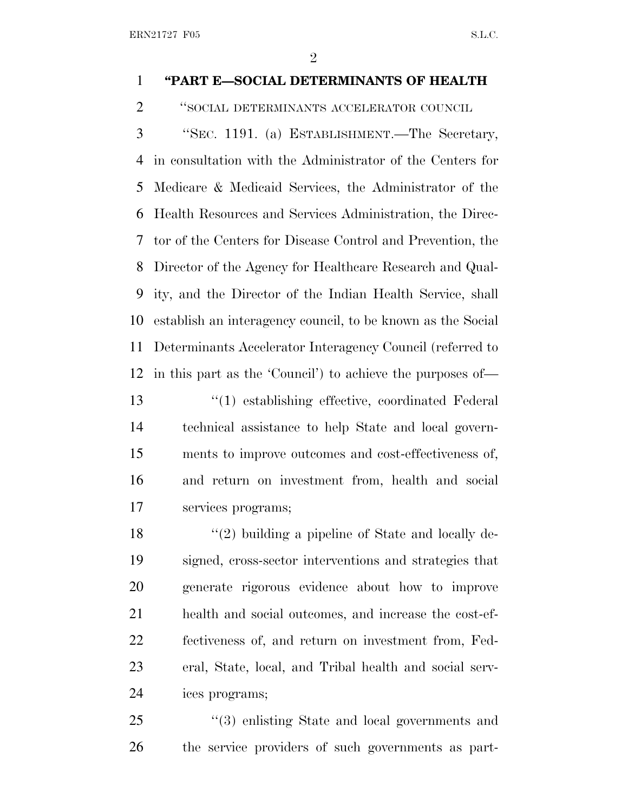ERN21727 F05 S.L.C.

## **''PART E—SOCIAL DETERMINANTS OF HEALTH**

''SOCIAL DETERMINANTS ACCELERATOR COUNCIL

 ''SEC. 1191. (a) ESTABLISHMENT.—The Secretary, in consultation with the Administrator of the Centers for Medicare & Medicaid Services, the Administrator of the Health Resources and Services Administration, the Direc- tor of the Centers for Disease Control and Prevention, the Director of the Agency for Healthcare Research and Qual- ity, and the Director of the Indian Health Service, shall establish an interagency council, to be known as the Social Determinants Accelerator Interagency Council (referred to in this part as the 'Council') to achieve the purposes of— ''(1) establishing effective, coordinated Federal technical assistance to help State and local govern- ments to improve outcomes and cost-effectiveness of, and return on investment from, health and social services programs;

18 ''(2) building a pipeline of State and locally de- signed, cross-sector interventions and strategies that generate rigorous evidence about how to improve health and social outcomes, and increase the cost-ef- fectiveness of, and return on investment from, Fed- eral, State, local, and Tribal health and social serv-ices programs;

25 "(3) enlisting State and local governments and the service providers of such governments as part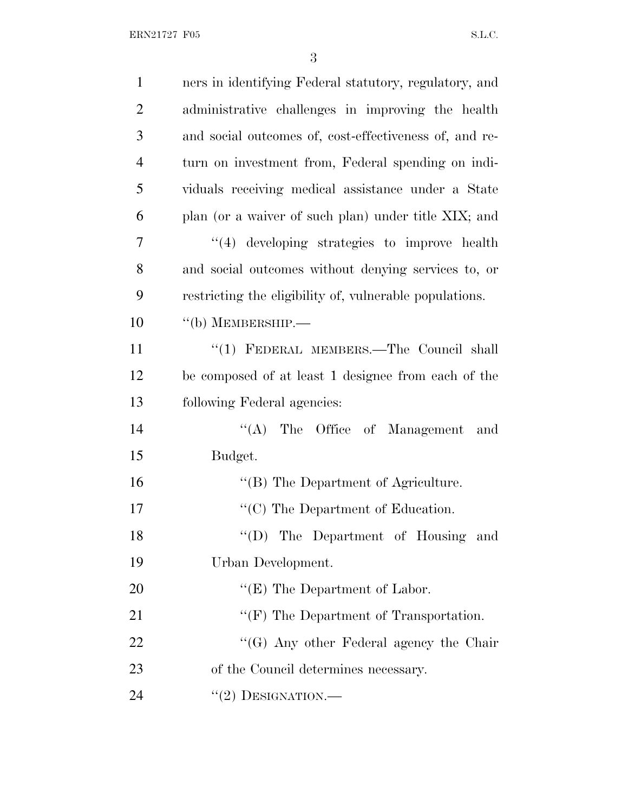ERN21727 F05 S.L.C.

| $\mathbf{1}$   | ners in identifying Federal statutory, regulatory, and  |
|----------------|---------------------------------------------------------|
| $\overline{2}$ | administrative challenges in improving the health       |
| 3              | and social outcomes of, cost-effectiveness of, and re-  |
| $\overline{4}$ | turn on investment from, Federal spending on indi-      |
| 5              | viduals receiving medical assistance under a State      |
| 6              | plan (or a waiver of such plan) under title XIX; and    |
| 7              | $\lq(4)$ developing strategies to improve health        |
| 8              | and social outcomes without denying services to, or     |
| 9              | restricting the eligibility of, vulnerable populations. |
| 10             | $``$ (b) MEMBERSHIP.—                                   |
| 11             | "(1) FEDERAL MEMBERS.—The Council shall                 |
| 12             | be composed of at least 1 designee from each of the     |
| 13             | following Federal agencies:                             |
| 14             | $\lq\lq (A)$<br>The Office of Management and            |
| 15             | Budget.                                                 |
| 16             | "(B) The Department of Agriculture.                     |
| 17             | $\lq\lq$ <sup>c</sup> (C) The Department of Education.  |
| 18             | "(D) The Department of Housing and                      |
| 19             | Urban Development.                                      |
| 20             | " $(E)$ The Department of Labor.                        |
| 21             | " $(F)$ The Department of Transportation.               |
| 22             | $\lq\lq (G)$ Any other Federal agency the Chair         |
| 23             | of the Council determines necessary.                    |
| 24             | $``(2)$ DESIGNATION.—                                   |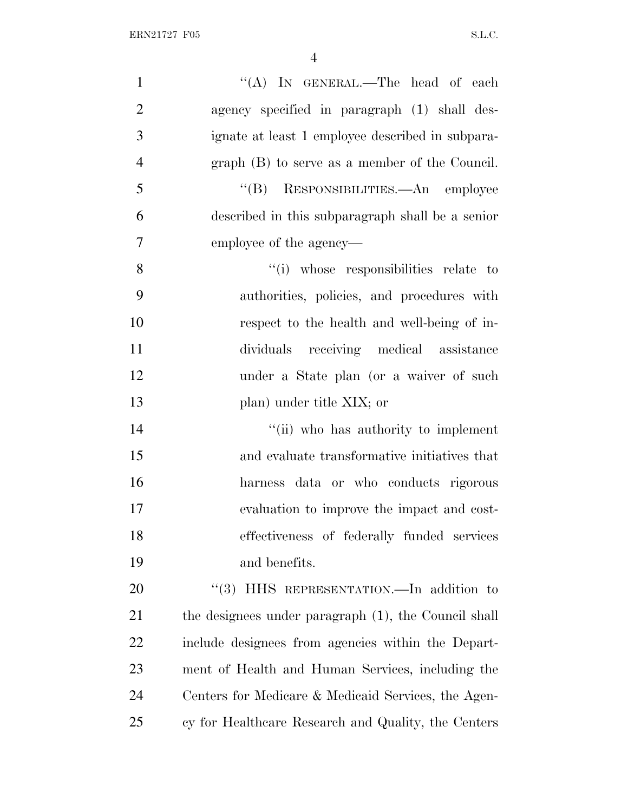| $\mathbf{1}$   | "(A) IN GENERAL.—The head of each                    |
|----------------|------------------------------------------------------|
| $\overline{2}$ | agency specified in paragraph (1) shall des-         |
| 3              | ignate at least 1 employee described in subpara-     |
| $\overline{4}$ | $graph$ (B) to serve as a member of the Council.     |
| 5              | "(B) RESPONSIBILITIES.—An employee                   |
| 6              | described in this subparagraph shall be a senior     |
| 7              | employee of the agency—                              |
| 8              | "(i) whose responsibilities relate to                |
| 9              | authorities, policies, and procedures with           |
| 10             | respect to the health and well-being of in-          |
| 11             | dividuals receiving medical assistance               |
| 12             | under a State plan (or a waiver of such              |
| 13             | plan) under title XIX; or                            |
| 14             | "(ii) who has authority to implement                 |
| 15             | and evaluate transformative initiatives that         |
| 16             | harness data or who conducts rigorous                |
| 17             | evaluation to improve the impact and cost-           |
| 18             | effectiveness of federally funded services           |
| 19             | and benefits.                                        |
| 20             | "(3) HHS REPRESENTATION.—In addition to              |
| 21             | the designees under paragraph (1), the Council shall |
| 22             | include designees from agencies within the Depart-   |
| 23             | ment of Health and Human Services, including the     |
| 24             | Centers for Medicare & Medicaid Services, the Agen-  |
| 25             | cy for Healthcare Research and Quality, the Centers  |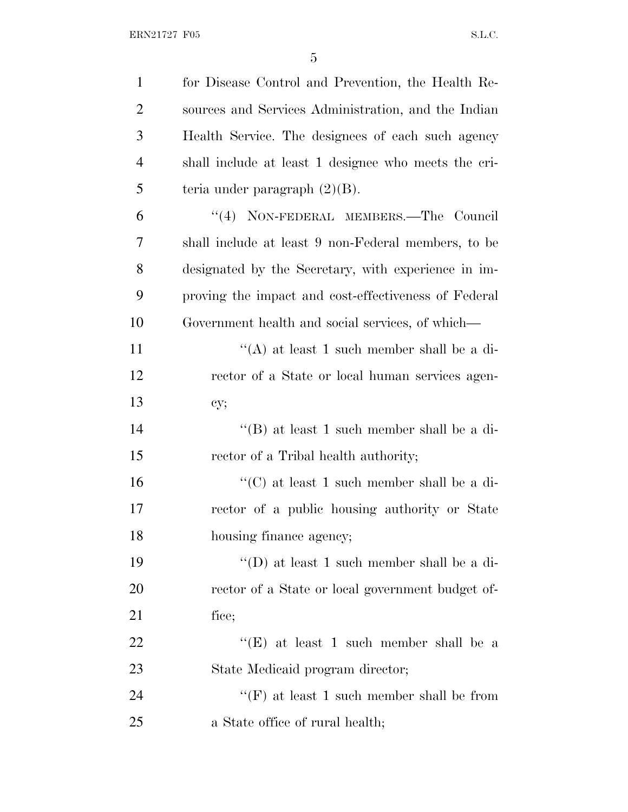| $\mathbf{1}$   | for Disease Control and Prevention, the Health Re-   |
|----------------|------------------------------------------------------|
| $\overline{2}$ | sources and Services Administration, and the Indian  |
| 3              | Health Service. The designees of each such agency    |
| $\overline{4}$ | shall include at least 1 designee who meets the cri- |
| 5              | teria under paragraph $(2)(B)$ .                     |
| 6              | "(4) NON-FEDERAL MEMBERS.—The Council                |
| 7              | shall include at least 9 non-Federal members, to be  |
| 8              | designated by the Secretary, with experience in im-  |
| 9              | proving the impact and cost-effectiveness of Federal |
| 10             | Government health and social services, of which-     |
| 11             | "(A) at least 1 such member shall be a di-           |
| 12             | rector of a State or local human services agen-      |
| 13             | cy;                                                  |
| 14             | "(B) at least 1 such member shall be a di-           |
| 15             | rector of a Tribal health authority;                 |
| 16             | "(C) at least 1 such member shall be a di-           |
| 17             | rector of a public housing authority or State        |
| 18             | housing finance agency;                              |
| 19             | "(D) at least 1 such member shall be a di-           |
| 20             | rector of a State or local government budget of-     |
| 21             | fice;                                                |
| 22             | "(E) at least 1 such member shall be a               |
| 23             | State Medicaid program director;                     |
| 24             | "(F) at least 1 such member shall be from            |
| 25             | a State office of rural health;                      |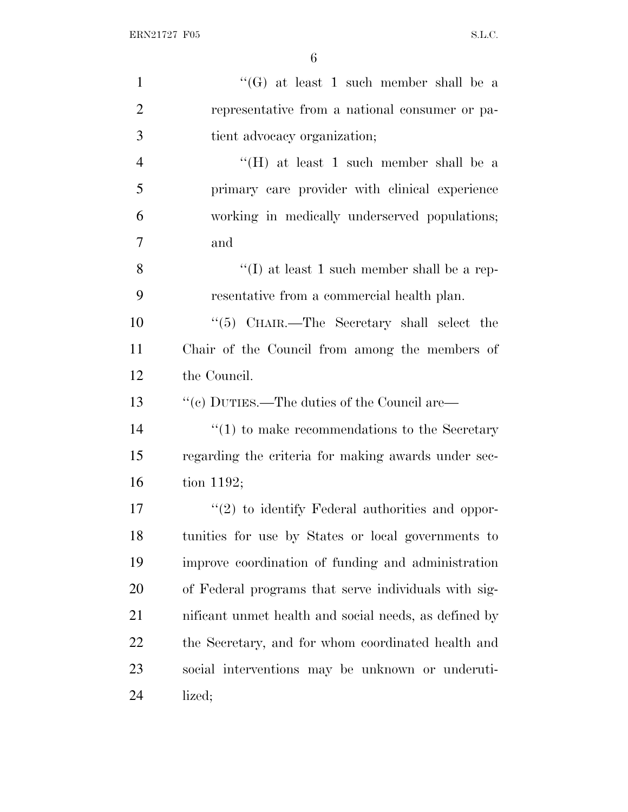| $\mathbf{1}$   | "(G) at least 1 such member shall be a                |
|----------------|-------------------------------------------------------|
| $\overline{2}$ | representative from a national consumer or pa-        |
| 3              | tient advocacy organization;                          |
| $\overline{4}$ | "(H) at least 1 such member shall be a                |
| 5              | primary care provider with clinical experience        |
| 6              | working in medically underserved populations;         |
| 7              | and                                                   |
| 8              | "(I) at least 1 such member shall be a rep-           |
| 9              | resentative from a commercial health plan.            |
| 10             | " $(5)$ CHAIR.—The Secretary shall select the         |
| 11             | Chair of the Council from among the members of        |
| 12             | the Council.                                          |
| 13             | "(c) DUTIES.—The duties of the Council are—           |
| 14             | $"(1)$ to make recommendations to the Secretary       |
| 15             | regarding the criteria for making awards under sec-   |
| 16             | tion 1192;                                            |
| 17             | $\lq(2)$ to identify Federal authorities and oppor-   |
| 18             | tunities for use by States or local governments to    |
| 19             | improve coordination of funding and administration    |
| 20             | of Federal programs that serve individuals with sig-  |
| 21             | nificant unmet health and social needs, as defined by |
| 22             | the Secretary, and for whom coordinated health and    |
| 23             | social interventions may be unknown or underuti-      |
| 24             | lized;                                                |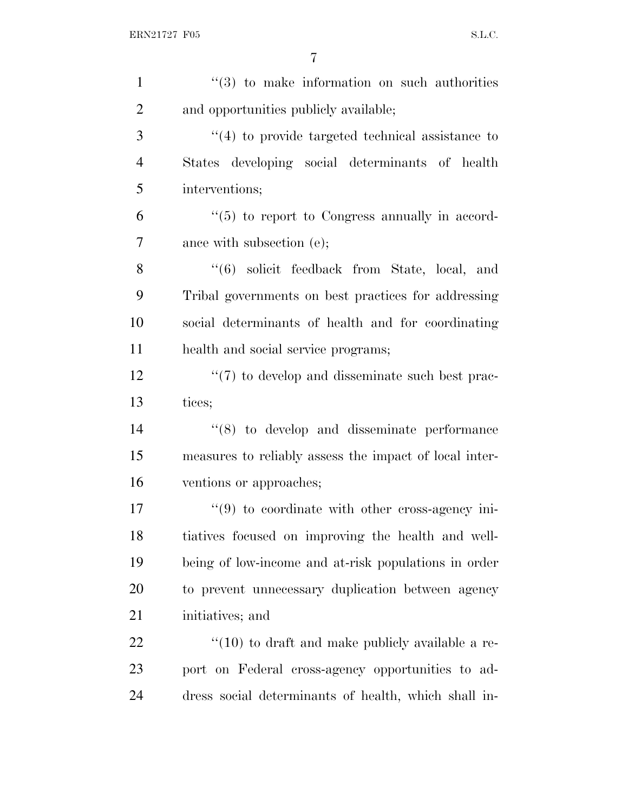| $\mathbf{1}$   | $(3)$ to make information on such authorities                   |
|----------------|-----------------------------------------------------------------|
| $\overline{2}$ | and opportunities publicly available;                           |
| 3              | $\cdot$ (4) to provide targeted technical assistance to         |
| $\overline{4}$ | States developing social determinants of health                 |
| 5              | interventions;                                                  |
| 6              | "(5) to report to Congress annually in accord-                  |
| $\overline{7}$ | ance with subsection (e);                                       |
| 8              | $(6)$ solicit feedback from State, local, and                   |
| 9              | Tribal governments on best practices for addressing             |
| 10             | social determinants of health and for coordinating              |
| 11             | health and social service programs;                             |
| 12             | $\lq(7)$ to develop and disseminate such best prac-             |
| 13             | tices;                                                          |
| 14             | $\cdot$ (8) to develop and disseminate performance              |
| 15             | measures to reliably assess the impact of local inter-          |
| 16             | ventions or approaches;                                         |
| 17             | $\cdot\cdot\cdot(9)$ to coordinate with other cross-agency ini- |
| 18             | tiatives focused on improving the health and well-              |
| 19             | being of low-income and at-risk populations in order            |
| 20             | to prevent unnecessary duplication between agency               |
| 21             | initiatives; and                                                |
| 22             | $\cdot$ (10) to draft and make publicly available a re-         |
| 23             | port on Federal cross-agency opportunities to ad-               |
| 24             | dress social determinants of health, which shall in-            |
|                |                                                                 |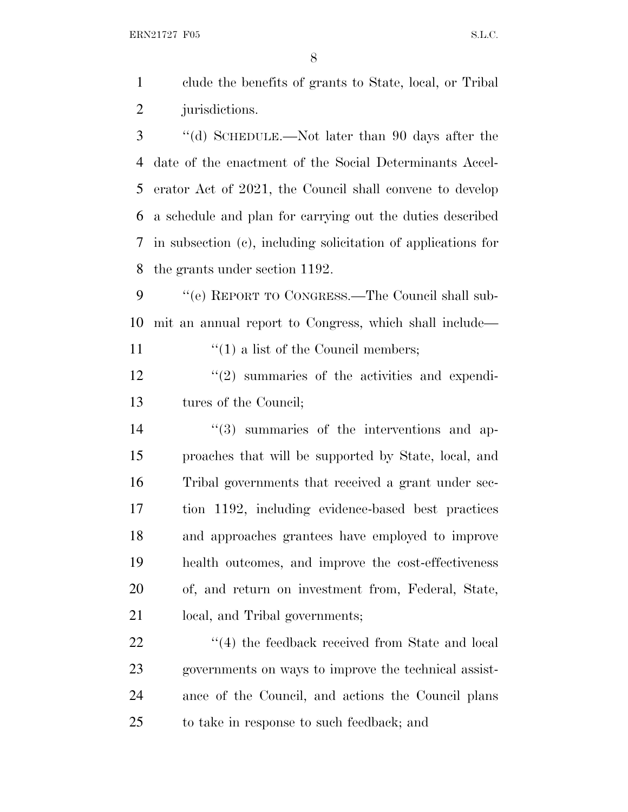ERN21727 F05 S.L.C.

 clude the benefits of grants to State, local, or Tribal jurisdictions.

 ''(d) SCHEDULE.—Not later than 90 days after the date of the enactment of the Social Determinants Accel- erator Act of 2021, the Council shall convene to develop a schedule and plan for carrying out the duties described in subsection (c), including solicitation of applications for the grants under section 1192.

 ''(e) REPORT TO CONGRESS.—The Council shall sub-mit an annual report to Congress, which shall include—

11  $\frac{1}{1}$   $\frac{1}{2}$  a list of the Council members;

12 ''(2) summaries of the activities and expendi-tures of the Council;

 $(3)$  summaries of the interventions and ap- proaches that will be supported by State, local, and Tribal governments that received a grant under sec- tion 1192, including evidence-based best practices and approaches grantees have employed to improve health outcomes, and improve the cost-effectiveness of, and return on investment from, Federal, State, local, and Tribal governments;

22 ''(4) the feedback received from State and local governments on ways to improve the technical assist- ance of the Council, and actions the Council plans to take in response to such feedback; and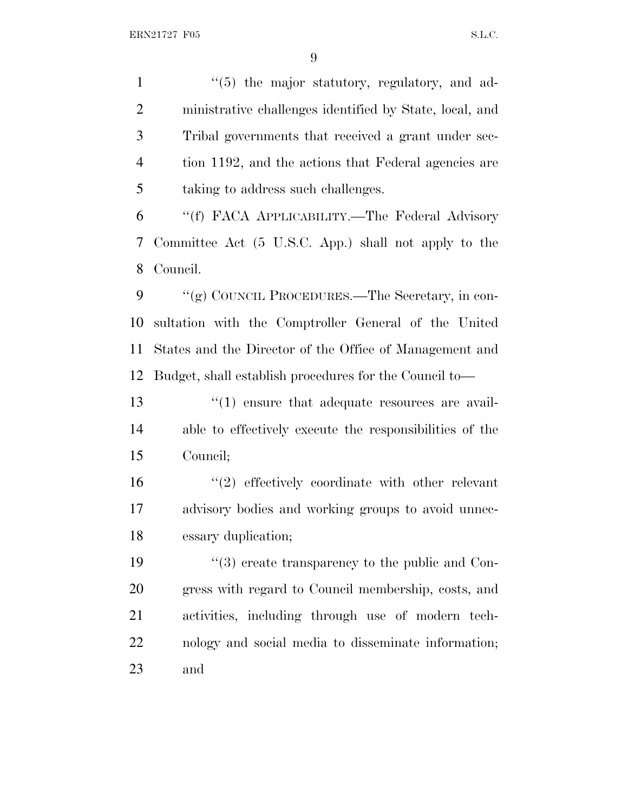1 ''(5) the major statutory, regulatory, and ad- ministrative challenges identified by State, local, and Tribal governments that received a grant under sec-4 tion 1192, and the actions that Federal agencies are taking to address such challenges.

 ''(f) FACA APPLICABILITY.—The Federal Advisory Committee Act (5 U.S.C. App.) shall not apply to the Council.

9 "(g) COUNCIL PROCEDURES.—The Secretary, in con- sultation with the Comptroller General of the United States and the Director of the Office of Management and Budget, shall establish procedures for the Council to—

13  $\frac{13}{12}$   $\frac{13}{12}$  ensure that adequate resources are avail- able to effectively execute the responsibilities of the Council;

16 ''(2) effectively coordinate with other relevant advisory bodies and working groups to avoid unnec-essary duplication;

19 ''(3) create transparency to the public and Con- gress with regard to Council membership, costs, and activities, including through use of modern tech- nology and social media to disseminate information; and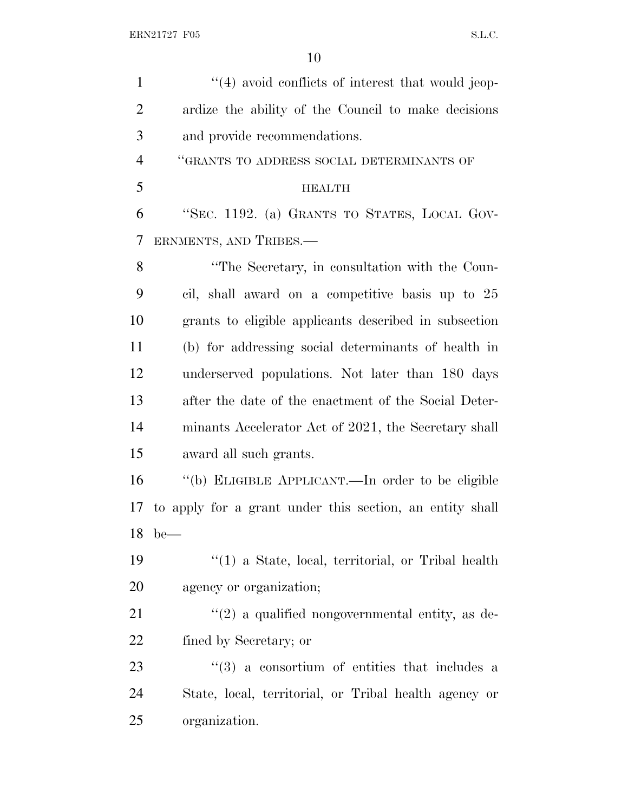| $\mathbf{1}$   | $\cdot$ (4) avoid conflicts of interest that would jeep- |
|----------------|----------------------------------------------------------|
| $\overline{2}$ | ardize the ability of the Council to make decisions      |
| 3              | and provide recommendations.                             |
| $\overline{4}$ | "GRANTS TO ADDRESS SOCIAL DETERMINANTS OF                |
| 5              | <b>HEALTH</b>                                            |
| 6              | "SEC. 1192. (a) GRANTS TO STATES, LOCAL GOV-             |
| 7              | ERNMENTS, AND TRIBES.—                                   |
| 8              | "The Secretary, in consultation with the Coun-           |
| 9              | cil, shall award on a competitive basis up to 25         |
| 10             | grants to eligible applicants described in subsection    |
| 11             | (b) for addressing social determinants of health in      |
| 12             | underserved populations. Not later than 180 days         |
| 13             | after the date of the enactment of the Social Deter-     |
| 14             | minants Accelerator Act of 2021, the Secretary shall     |
| 15             | award all such grants.                                   |
| 16             | "(b) ELIGIBLE APPLICANT.—In order to be eligible         |
| 17             | to apply for a grant under this section, an entity shall |
| 18             | $be$ —                                                   |
| 19             | $\lq(1)$ a State, local, territorial, or Tribal health   |
| <b>20</b>      | agency or organization;                                  |
| 21             | $\lq(2)$ a qualified nongovernmental entity, as de-      |
| 22             | fined by Secretary; or                                   |
| 23             | $(3)$ a consortium of entities that includes a           |
| 24             | State, local, territorial, or Tribal health agency or    |
| 25             | organization.                                            |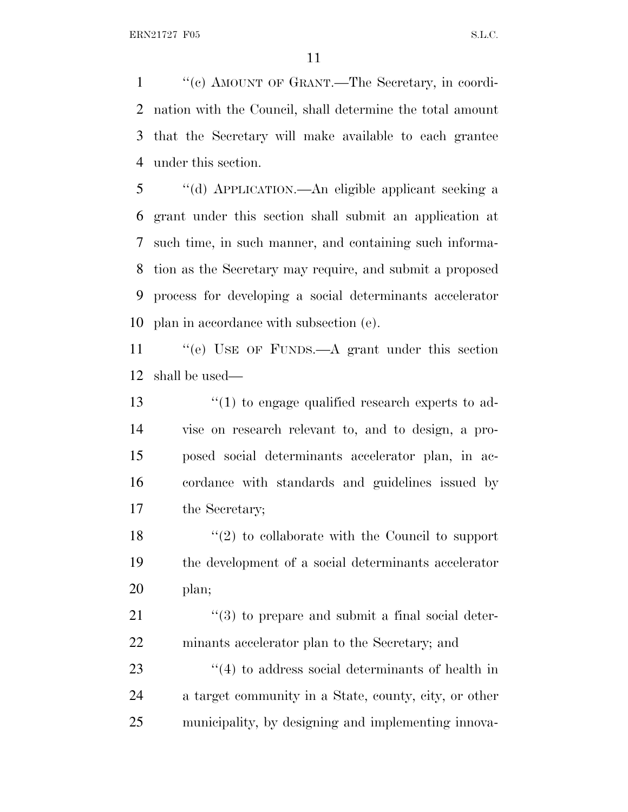''(c) AMOUNT OF GRANT.—The Secretary, in coordi- nation with the Council, shall determine the total amount that the Secretary will make available to each grantee under this section.

 ''(d) APPLICATION.—An eligible applicant seeking a grant under this section shall submit an application at such time, in such manner, and containing such informa- tion as the Secretary may require, and submit a proposed process for developing a social determinants accelerator plan in accordance with subsection (e).

11 "(e) USE OF FUNDS.—A grant under this section shall be used—

 ''(1) to engage qualified research experts to ad- vise on research relevant to, and to design, a pro- posed social determinants accelerator plan, in ac- cordance with standards and guidelines issued by the Secretary;

18 ''(2) to collaborate with the Council to support the development of a social determinants accelerator plan;

21 ''(3) to prepare and submit a final social deter-minants accelerator plan to the Secretary; and

23 ''(4) to address social determinants of health in a target community in a State, county, city, or other municipality, by designing and implementing innova-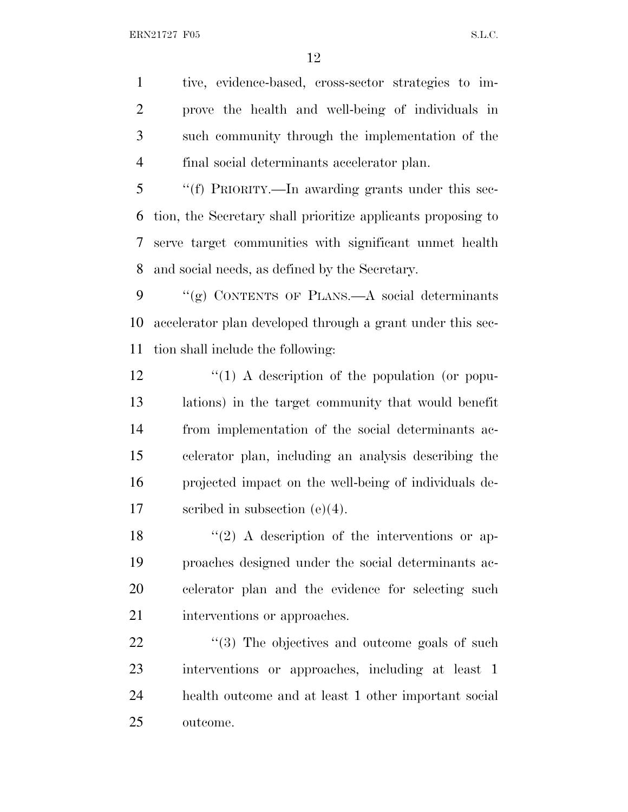tive, evidence-based, cross-sector strategies to im- prove the health and well-being of individuals in such community through the implementation of the final social determinants accelerator plan.

 ''(f) PRIORITY.—In awarding grants under this sec- tion, the Secretary shall prioritize applicants proposing to serve target communities with significant unmet health and social needs, as defined by the Secretary.

9  $\frac{u'(g)}{g}$  CONTENTS OF PLANS.—A social determinants accelerator plan developed through a grant under this sec-tion shall include the following:

 $\frac{1}{2}$  (1) A description of the population (or popu- lations) in the target community that would benefit from implementation of the social determinants ac- celerator plan, including an analysis describing the projected impact on the well-being of individuals de-scribed in subsection (e)(4).

 $\frac{18}{2}$  ''(2) A description of the interventions or ap- proaches designed under the social determinants ac- celerator plan and the evidence for selecting such 21 interventions or approaches.

 $\frac{1}{2}$  (3) The objectives and outcome goals of such interventions or approaches, including at least 1 health outcome and at least 1 other important social outcome.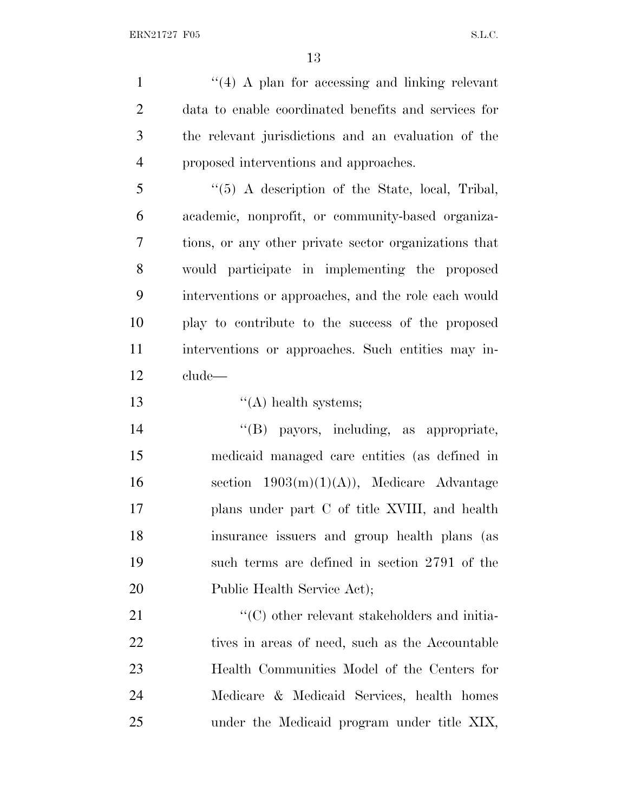1 ''(4) A plan for accessing and linking relevant data to enable coordinated benefits and services for the relevant jurisdictions and an evaluation of the proposed interventions and approaches.

 ''(5) A description of the State, local, Tribal, academic, nonprofit, or community-based organiza- tions, or any other private sector organizations that would participate in implementing the proposed interventions or approaches, and the role each would play to contribute to the success of the proposed interventions or approaches. Such entities may in-clude—

13 ''(A) health systems;

 ''(B) payors, including, as appropriate, medicaid managed care entities (as defined in 16 section  $1903(m)(1)(A)$ , Medicare Advantage plans under part C of title XVIII, and health insurance issuers and group health plans (as such terms are defined in section 2791 of the 20 Public Health Service Act);

 $\cdot$  (C) other relevant stakeholders and initia-22 tives in areas of need, such as the Accountable Health Communities Model of the Centers for Medicare & Medicaid Services, health homes under the Medicaid program under title XIX,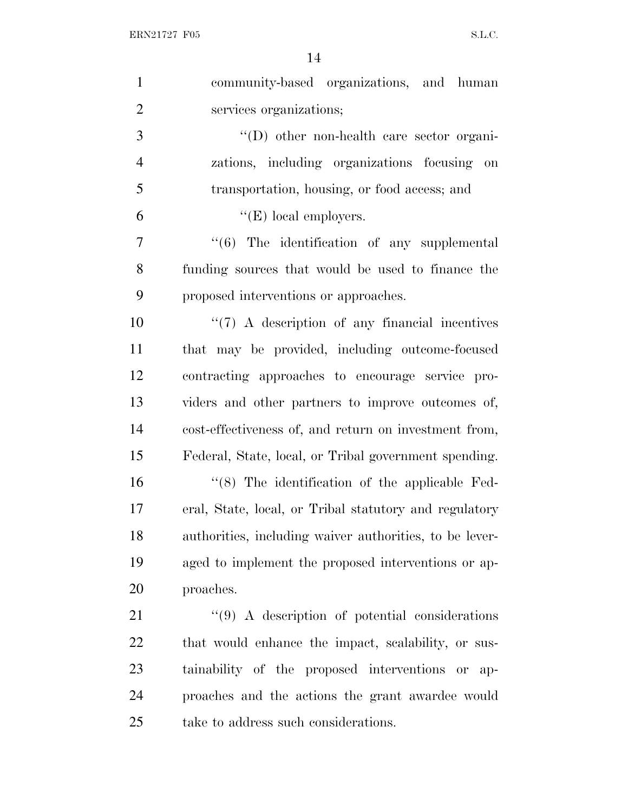| $\mathbf{1}$   | community-based organizations, and human                     |
|----------------|--------------------------------------------------------------|
| $\overline{2}$ | services organizations;                                      |
| 3              | $\lq\lq$ other non-health care sector organi-                |
| $\overline{4}$ | zations, including organizations focusing on                 |
| 5              | transportation, housing, or food access; and                 |
| 6              | $\lq\lq(E)$ local employers.                                 |
| 7              | $\cdot\cdot\cdot$ (6) The identification of any supplemental |
| 8              | funding sources that would be used to finance the            |
| 9              | proposed interventions or approaches.                        |
| 10             | $\lq(7)$ A description of any financial incentives           |
| 11             | that may be provided, including outcome-focused              |
| 12             | contracting approaches to encourage service pro-             |
| 13             | viders and other partners to improve outcomes of,            |
| 14             | cost-effectiveness of, and return on investment from,        |
| 15             | Federal, State, local, or Tribal government spending.        |
| 16             | $\cdot$ (8) The identification of the applicable Fed-        |
| 17             | eral, State, local, or Tribal statutory and regulatory       |
| 18             | authorities, including waiver authorities, to be lever-      |
| 19             | aged to implement the proposed interventions or ap-          |
| 20             | proaches.                                                    |
| 21             | $\lq(9)$ A description of potential considerations           |
| 22             | that would enhance the impact, scalability, or sus-          |
| 23             | tainability of the proposed interventions or ap-             |
| 24             | proaches and the actions the grant awardee would             |
| 25             | take to address such considerations.                         |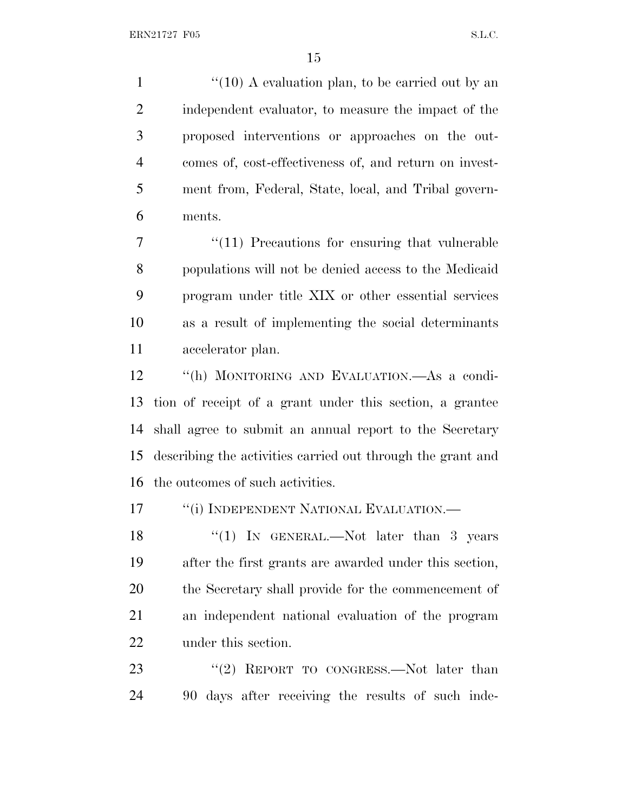1 ''(10) A evaluation plan, to be carried out by an independent evaluator, to measure the impact of the proposed interventions or approaches on the out- comes of, cost-effectiveness of, and return on invest- ment from, Federal, State, local, and Tribal govern-ments.

 ''(11) Precautions for ensuring that vulnerable populations will not be denied access to the Medicaid program under title XIX or other essential services as a result of implementing the social determinants accelerator plan.

 ''(h) MONITORING AND EVALUATION.—As a condi- tion of receipt of a grant under this section, a grantee shall agree to submit an annual report to the Secretary describing the activities carried out through the grant and the outcomes of such activities.

17 <sup>"</sup>(i) INDEPENDENT NATIONAL EVALUATION.—

18 "(1) In GENERAL.—Not later than 3 years after the first grants are awarded under this section, the Secretary shall provide for the commencement of an independent national evaluation of the program under this section.

23 "(2) REPORT TO CONGRESS.—Not later than 90 days after receiving the results of such inde-